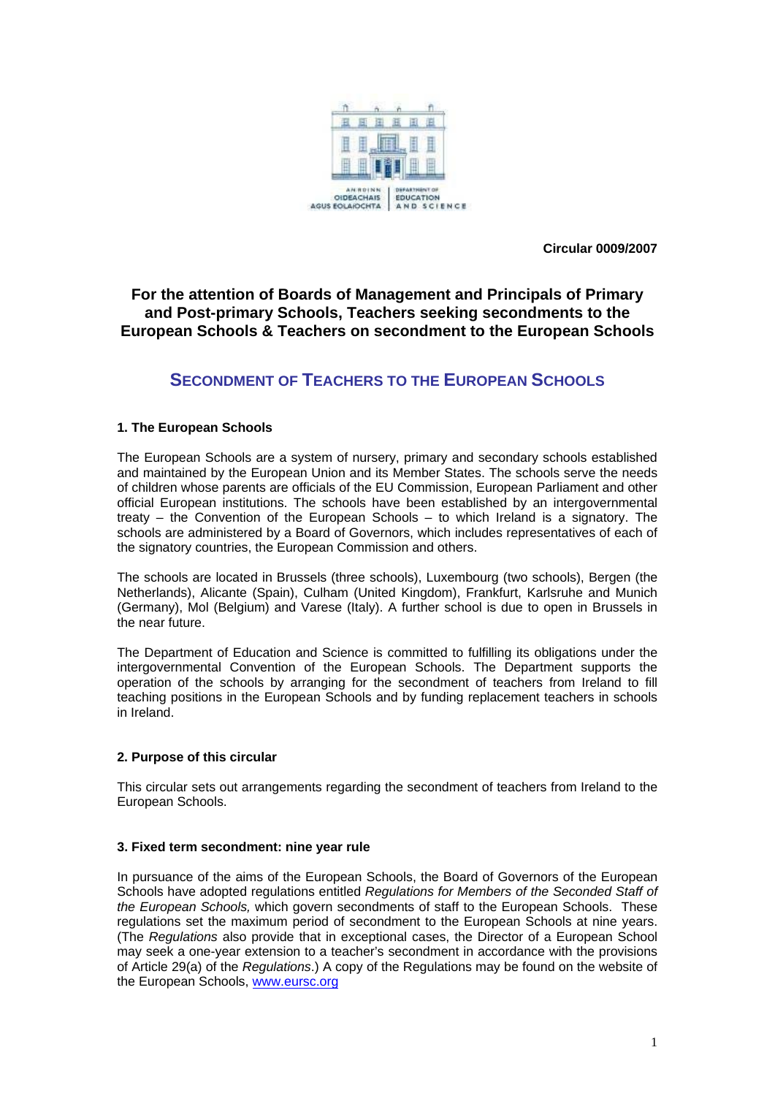

**Circular 0009/2007** 

## **For the attention of Boards of Management and Principals of Primary and Post-primary Schools, Teachers seeking secondments to the European Schools & Teachers on secondment to the European Schools**

# **SECONDMENT OF TEACHERS TO THE EUROPEAN SCHOOLS**

## **1. The European Schools**

The European Schools are a system of nursery, primary and secondary schools established and maintained by the European Union and its Member States. The schools serve the needs of children whose parents are officials of the EU Commission, European Parliament and other official European institutions. The schools have been established by an intergovernmental treaty – the Convention of the European Schools – to which Ireland is a signatory. The schools are administered by a Board of Governors, which includes representatives of each of the signatory countries, the European Commission and others.

The schools are located in Brussels (three schools), Luxembourg (two schools), Bergen (the Netherlands), Alicante (Spain), Culham (United Kingdom), Frankfurt, Karlsruhe and Munich (Germany), Mol (Belgium) and Varese (Italy). A further school is due to open in Brussels in the near future.

The Department of Education and Science is committed to fulfilling its obligations under the intergovernmental Convention of the European Schools. The Department supports the operation of the schools by arranging for the secondment of teachers from Ireland to fill teaching positions in the European Schools and by funding replacement teachers in schools in Ireland.

## **2. Purpose of this circular**

This circular sets out arrangements regarding the secondment of teachers from Ireland to the European Schools.

## **3. Fixed term secondment: nine year rule**

In pursuance of the aims of the European Schools, the Board of Governors of the European Schools have adopted regulations entitled *Regulations for Members of the Seconded Staff of the European Schools,* which govern secondments of staff to the European Schools. These regulations set the maximum period of secondment to the European Schools at nine years. (The *Regulations* also provide that in exceptional cases, the Director of a European School may seek a one-year extension to a teacher's secondment in accordance with the provisions of Article 29(a) of the *Regulations*.) A copy of the Regulations may be found on the website of the European Schools, [www.eursc.org](http://www.eursc.org/)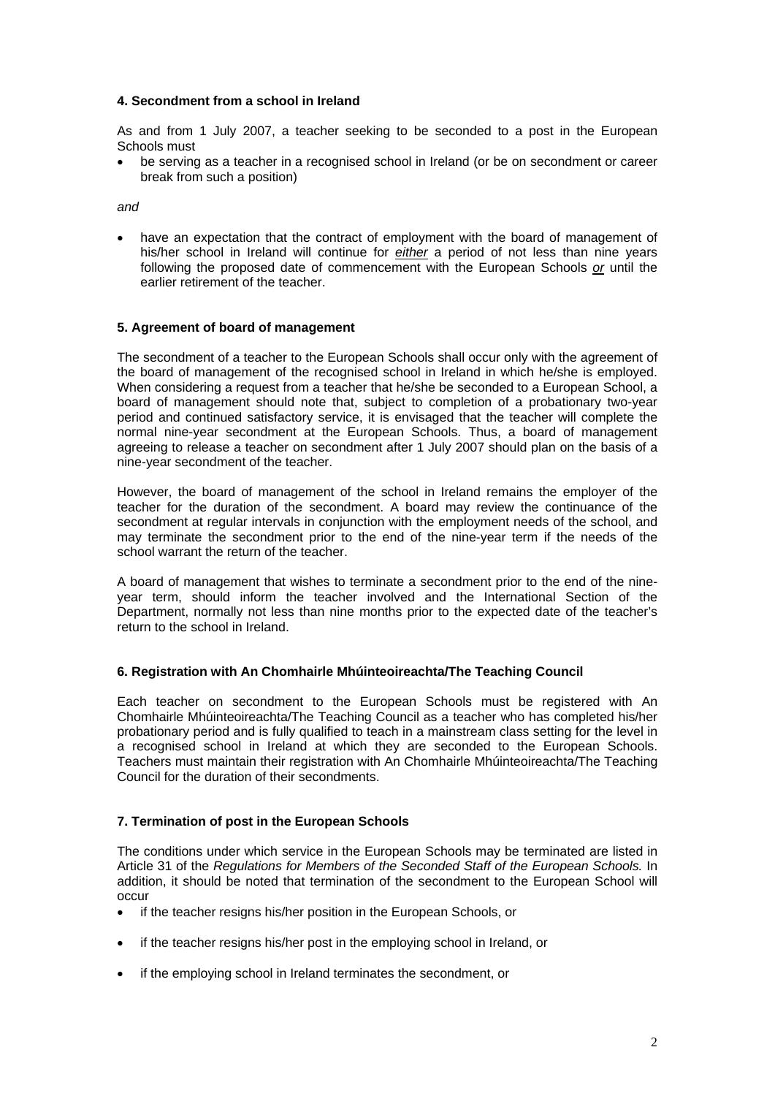## **4. Secondment from a school in Ireland**

As and from 1 July 2007, a teacher seeking to be seconded to a post in the European Schools must

• be serving as a teacher in a recognised school in Ireland (or be on secondment or career break from such a position)

*and* 

have an expectation that the contract of employment with the board of management of his/her school in Ireland will continue for *either* a period of not less than nine years following the proposed date of commencement with the European Schools *or* until the earlier retirement of the teacher.

### **5. Agreement of board of management**

The secondment of a teacher to the European Schools shall occur only with the agreement of the board of management of the recognised school in Ireland in which he/she is employed. When considering a request from a teacher that he/she be seconded to a European School, a board of management should note that, subject to completion of a probationary two-year period and continued satisfactory service, it is envisaged that the teacher will complete the normal nine-year secondment at the European Schools. Thus, a board of management agreeing to release a teacher on secondment after 1 July 2007 should plan on the basis of a nine-year secondment of the teacher.

However, the board of management of the school in Ireland remains the employer of the teacher for the duration of the secondment. A board may review the continuance of the secondment at regular intervals in conjunction with the employment needs of the school, and may terminate the secondment prior to the end of the nine-year term if the needs of the school warrant the return of the teacher.

A board of management that wishes to terminate a secondment prior to the end of the nineyear term, should inform the teacher involved and the International Section of the Department, normally not less than nine months prior to the expected date of the teacher's return to the school in Ireland.

#### **6. Registration with An Chomhairle Mhúinteoireachta/The Teaching Council**

Each teacher on secondment to the European Schools must be registered with An Chomhairle Mhúinteoireachta/The Teaching Council as a teacher who has completed his/her probationary period and is fully qualified to teach in a mainstream class setting for the level in a recognised school in Ireland at which they are seconded to the European Schools. Teachers must maintain their registration with An Chomhairle Mhúinteoireachta/The Teaching Council for the duration of their secondments.

## **7. Termination of post in the European Schools**

The conditions under which service in the European Schools may be terminated are listed in Article 31 of the *Regulations for Members of the Seconded Staff of the European Schools.* In addition, it should be noted that termination of the secondment to the European School will occur

- if the teacher resigns his/her position in the European Schools, or
- if the teacher resigns his/her post in the employing school in Ireland, or
- if the employing school in Ireland terminates the secondment, or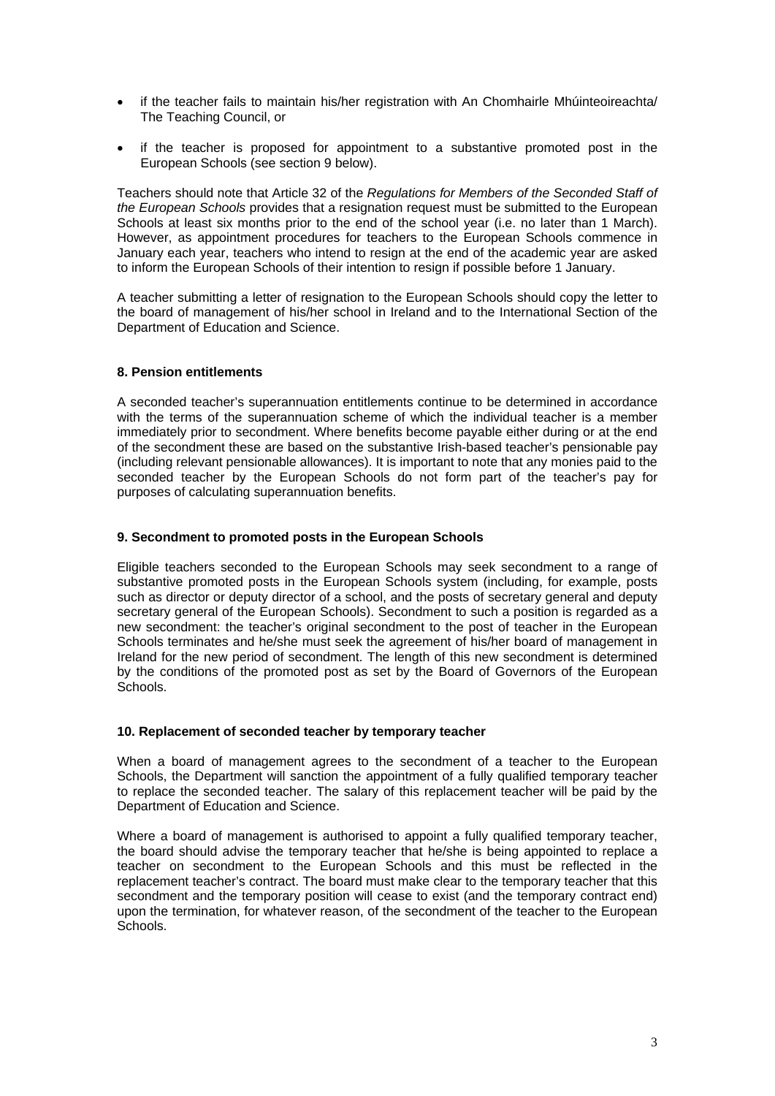- if the teacher fails to maintain his/her registration with An Chomhairle Mhúinteoireachta/ The Teaching Council, or
- if the teacher is proposed for appointment to a substantive promoted post in the European Schools (see section 9 below).

Teachers should note that Article 32 of the *Regulations for Members of the Seconded Staff of the European Schools* provides that a resignation request must be submitted to the European Schools at least six months prior to the end of the school year (i.e. no later than 1 March). However, as appointment procedures for teachers to the European Schools commence in January each year, teachers who intend to resign at the end of the academic year are asked to inform the European Schools of their intention to resign if possible before 1 January.

A teacher submitting a letter of resignation to the European Schools should copy the letter to the board of management of his/her school in Ireland and to the International Section of the Department of Education and Science.

### **8. Pension entitlements**

A seconded teacher's superannuation entitlements continue to be determined in accordance with the terms of the superannuation scheme of which the individual teacher is a member immediately prior to secondment. Where benefits become payable either during or at the end of the secondment these are based on the substantive Irish-based teacher's pensionable pay (including relevant pensionable allowances). It is important to note that any monies paid to the seconded teacher by the European Schools do not form part of the teacher's pay for purposes of calculating superannuation benefits.

### **9. Secondment to promoted posts in the European Schools**

Eligible teachers seconded to the European Schools may seek secondment to a range of substantive promoted posts in the European Schools system (including, for example, posts such as director or deputy director of a school, and the posts of secretary general and deputy secretary general of the European Schools). Secondment to such a position is regarded as a new secondment: the teacher's original secondment to the post of teacher in the European Schools terminates and he/she must seek the agreement of his/her board of management in Ireland for the new period of secondment. The length of this new secondment is determined by the conditions of the promoted post as set by the Board of Governors of the European Schools.

#### **10. Replacement of seconded teacher by temporary teacher**

When a board of management agrees to the secondment of a teacher to the European Schools, the Department will sanction the appointment of a fully qualified temporary teacher to replace the seconded teacher. The salary of this replacement teacher will be paid by the Department of Education and Science.

Where a board of management is authorised to appoint a fully qualified temporary teacher, the board should advise the temporary teacher that he/she is being appointed to replace a teacher on secondment to the European Schools and this must be reflected in the replacement teacher's contract. The board must make clear to the temporary teacher that this secondment and the temporary position will cease to exist (and the temporary contract end) upon the termination, for whatever reason, of the secondment of the teacher to the European Schools.